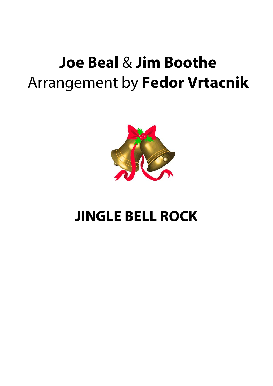## **Joe Beal** & **Jim Boothe** Arrangement by **Fedor Vrtacnik**



## **JINGLE BELL ROCK**